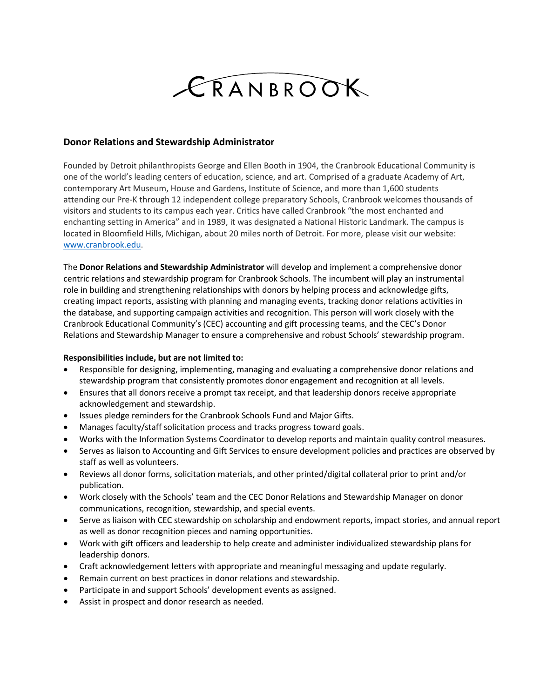## CRANBROOK

## **Donor Relations and Stewardship Administrator**

Founded by Detroit philanthropists George and Ellen Booth in 1904, the Cranbrook Educational Community is one of the world's leading centers of education, science, and art. Comprised of a graduate Academy of Art, contemporary Art Museum, House and Gardens, Institute of Science, and more than 1,600 students attending our Pre-K through 12 independent college preparatory Schools, Cranbrook welcomes thousands of visitors and students to its campus each year. Critics have called Cranbrook "the most enchanted and enchanting setting in America" and in 1989, it was designated a National Historic Landmark. The campus is located in Bloomfield Hills, Michigan, about 20 miles north of Detroit. For more, please visit our website: [www.cranbrook.edu.](http://www.cranbrook.edu/)

The **Donor Relations and Stewardship Administrator** will develop and implement a comprehensive donor centric relations and stewardship program for Cranbrook Schools. The incumbent will play an instrumental role in building and strengthening relationships with donors by helping process and acknowledge gifts, creating impact reports, assisting with planning and managing events, tracking donor relations activities in the database, and supporting campaign activities and recognition. This person will work closely with the Cranbrook Educational Community's (CEC) accounting and gift processing teams, and the CEC's Donor Relations and Stewardship Manager to ensure a comprehensive and robust Schools' stewardship program.

## **Responsibilities include, but are not limited to:**

- Responsible for designing, implementing, managing and evaluating a comprehensive donor relations and stewardship program that consistently promotes donor engagement and recognition at all levels.
- Ensures that all donors receive a prompt tax receipt, and that leadership donors receive appropriate acknowledgement and stewardship.
- Issues pledge reminders for the Cranbrook Schools Fund and Major Gifts.
- Manages faculty/staff solicitation process and tracks progress toward goals.
- Works with the Information Systems Coordinator to develop reports and maintain quality control measures.
- Serves as liaison to Accounting and Gift Services to ensure development policies and practices are observed by staff as well as volunteers.
- Reviews all donor forms, solicitation materials, and other printed/digital collateral prior to print and/or publication.
- Work closely with the Schools' team and the CEC Donor Relations and Stewardship Manager on donor communications, recognition, stewardship, and special events.
- Serve as liaison with CEC stewardship on scholarship and endowment reports, impact stories, and annual report as well as donor recognition pieces and naming opportunities.
- Work with gift officers and leadership to help create and administer individualized stewardship plans for leadership donors.
- Craft acknowledgement letters with appropriate and meaningful messaging and update regularly.
- Remain current on best practices in donor relations and stewardship.
- Participate in and support Schools' development events as assigned.
- Assist in prospect and donor research as needed.